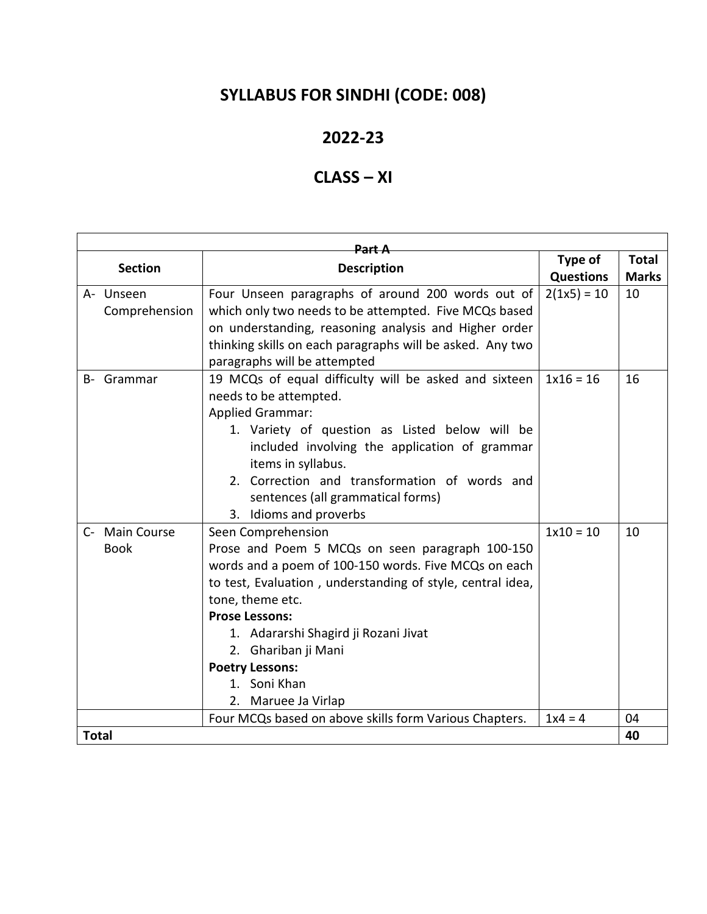# **SYLLABUS FOR SINDHI (CODE: 008)**

### **2022-23**

## **CLASS – XI**

| <del>Part A</del> |               |                                                            |                  |              |  |  |
|-------------------|---------------|------------------------------------------------------------|------------------|--------------|--|--|
| <b>Section</b>    |               | <b>Description</b>                                         | Type of          | <b>Total</b> |  |  |
|                   |               |                                                            | <b>Questions</b> | <b>Marks</b> |  |  |
| A- Unseen         |               | Four Unseen paragraphs of around 200 words out of          | $2(1x5) = 10$    | 10           |  |  |
|                   | Comprehension | which only two needs to be attempted. Five MCQs based      |                  |              |  |  |
|                   |               | on understanding, reasoning analysis and Higher order      |                  |              |  |  |
|                   |               | thinking skills on each paragraphs will be asked. Any two  |                  |              |  |  |
|                   |               | paragraphs will be attempted                               |                  |              |  |  |
| B- Grammar        |               | 19 MCQs of equal difficulty will be asked and sixteen      | $1x16 = 16$      | 16           |  |  |
|                   |               | needs to be attempted.                                     |                  |              |  |  |
|                   |               | <b>Applied Grammar:</b>                                    |                  |              |  |  |
|                   |               | 1. Variety of question as Listed below will be             |                  |              |  |  |
|                   |               | included involving the application of grammar              |                  |              |  |  |
|                   |               | items in syllabus.                                         |                  |              |  |  |
|                   |               | 2. Correction and transformation of words and              |                  |              |  |  |
|                   |               | sentences (all grammatical forms)                          |                  |              |  |  |
|                   |               | 3. Idioms and proverbs                                     |                  |              |  |  |
| C- Main Course    |               | Seen Comprehension                                         | $1x10 = 10$      | 10           |  |  |
| <b>Book</b>       |               | Prose and Poem 5 MCQs on seen paragraph 100-150            |                  |              |  |  |
|                   |               | words and a poem of 100-150 words. Five MCQs on each       |                  |              |  |  |
|                   |               | to test, Evaluation, understanding of style, central idea, |                  |              |  |  |
|                   |               | tone, theme etc.                                           |                  |              |  |  |
|                   |               | <b>Prose Lessons:</b>                                      |                  |              |  |  |
|                   |               | 1. Adararshi Shagird ji Rozani Jivat                       |                  |              |  |  |
|                   |               | 2. Ghariban ji Mani                                        |                  |              |  |  |
|                   |               | <b>Poetry Lessons:</b>                                     |                  |              |  |  |
|                   |               | 1. Soni Khan                                               |                  |              |  |  |
|                   |               | 2. Maruee Ja Virlap                                        |                  |              |  |  |
|                   |               | Four MCQs based on above skills form Various Chapters.     | $1x4 = 4$        | 04<br>40     |  |  |
| <b>Total</b>      |               |                                                            |                  |              |  |  |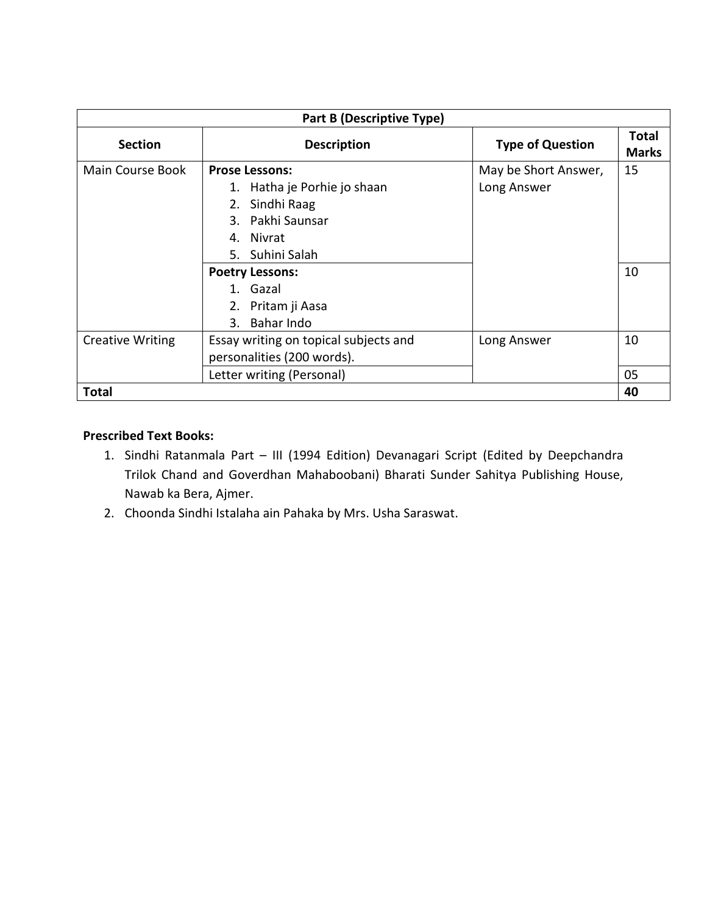| <b>Part B (Descriptive Type)</b> |                                       |                         |                              |  |  |
|----------------------------------|---------------------------------------|-------------------------|------------------------------|--|--|
| <b>Section</b>                   | <b>Description</b>                    | <b>Type of Question</b> | <b>Total</b><br><b>Marks</b> |  |  |
| Main Course Book                 | <b>Prose Lessons:</b>                 | May be Short Answer,    | 15                           |  |  |
|                                  | 1. Hatha je Porhie jo shaan           | Long Answer             |                              |  |  |
|                                  | 2. Sindhi Raag                        |                         |                              |  |  |
|                                  | 3. Pakhi Saunsar                      |                         |                              |  |  |
|                                  | 4. Nivrat                             |                         |                              |  |  |
|                                  | 5. Suhini Salah                       |                         |                              |  |  |
|                                  | <b>Poetry Lessons:</b>                |                         | 10                           |  |  |
|                                  | 1. Gazal                              |                         |                              |  |  |
|                                  | 2. Pritam ji Aasa                     |                         |                              |  |  |
|                                  | 3. Bahar Indo                         |                         |                              |  |  |
| <b>Creative Writing</b>          | Essay writing on topical subjects and | Long Answer             | 10                           |  |  |
|                                  | personalities (200 words).            |                         |                              |  |  |
|                                  | Letter writing (Personal)             |                         | 05                           |  |  |
| <b>Total</b>                     |                                       |                         | 40                           |  |  |

#### **Prescribed Text Books:**

- 1. Sindhi Ratanmala Part III (1994 Edition) Devanagari Script (Edited by Deepchandra Trilok Chand and Goverdhan Mahaboobani) Bharati Sunder Sahitya Publishing House, Nawab ka Bera, Ajmer.
- 2. Choonda Sindhi Istalaha ain Pahaka by Mrs. Usha Saraswat.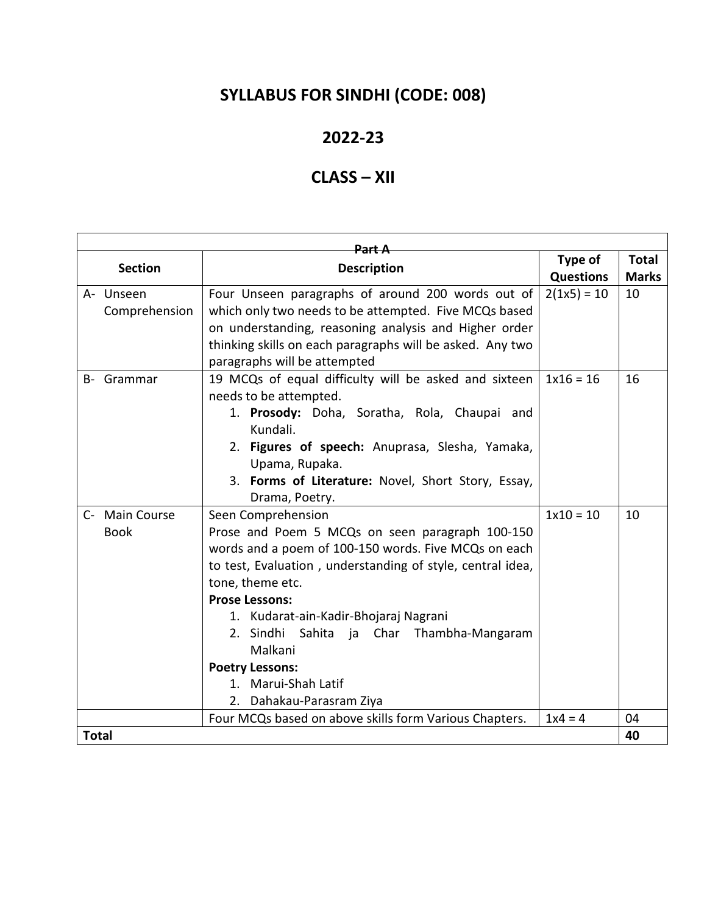# **SYLLABUS FOR SINDHI (CODE: 008)**

### **2022-23**

### **CLASS – XII**

| <del>Part A</del> |  |                                                            |                  |              |  |  |
|-------------------|--|------------------------------------------------------------|------------------|--------------|--|--|
| <b>Section</b>    |  | <b>Description</b>                                         | Type of          | <b>Total</b> |  |  |
|                   |  |                                                            | <b>Questions</b> | <b>Marks</b> |  |  |
| A- Unseen         |  | Four Unseen paragraphs of around 200 words out of          | $2(1x5) = 10$    | 10           |  |  |
| Comprehension     |  | which only two needs to be attempted. Five MCQs based      |                  |              |  |  |
|                   |  | on understanding, reasoning analysis and Higher order      |                  |              |  |  |
|                   |  | thinking skills on each paragraphs will be asked. Any two  |                  |              |  |  |
|                   |  | paragraphs will be attempted                               |                  |              |  |  |
| B- Grammar        |  | 19 MCQs of equal difficulty will be asked and sixteen      | $1x16 = 16$      | 16           |  |  |
|                   |  | needs to be attempted.                                     |                  |              |  |  |
|                   |  | 1. Prosody: Doha, Soratha, Rola, Chaupai and               |                  |              |  |  |
|                   |  | Kundali.                                                   |                  |              |  |  |
|                   |  | 2. Figures of speech: Anuprasa, Slesha, Yamaka,            |                  |              |  |  |
|                   |  | Upama, Rupaka.                                             |                  |              |  |  |
|                   |  | 3. Forms of Literature: Novel, Short Story, Essay,         |                  |              |  |  |
|                   |  | Drama, Poetry.                                             |                  |              |  |  |
| C- Main Course    |  | Seen Comprehension                                         | $1x10 = 10$      | 10           |  |  |
| <b>Book</b>       |  | Prose and Poem 5 MCQs on seen paragraph 100-150            |                  |              |  |  |
|                   |  | words and a poem of 100-150 words. Five MCQs on each       |                  |              |  |  |
|                   |  | to test, Evaluation, understanding of style, central idea, |                  |              |  |  |
|                   |  | tone, theme etc.                                           |                  |              |  |  |
|                   |  | <b>Prose Lessons:</b>                                      |                  |              |  |  |
|                   |  | 1. Kudarat-ain-Kadir-Bhojaraj Nagrani                      |                  |              |  |  |
|                   |  | 2. Sindhi<br>Sahita ja Char Thambha-Mangaram               |                  |              |  |  |
|                   |  | Malkani                                                    |                  |              |  |  |
|                   |  | <b>Poetry Lessons:</b>                                     |                  |              |  |  |
|                   |  | 1. Marui-Shah Latif                                        |                  |              |  |  |
|                   |  | 2. Dahakau-Parasram Ziya                                   |                  |              |  |  |
|                   |  | Four MCQs based on above skills form Various Chapters.     | $1x4 = 4$        | 04           |  |  |
| <b>Total</b>      |  |                                                            |                  | 40           |  |  |